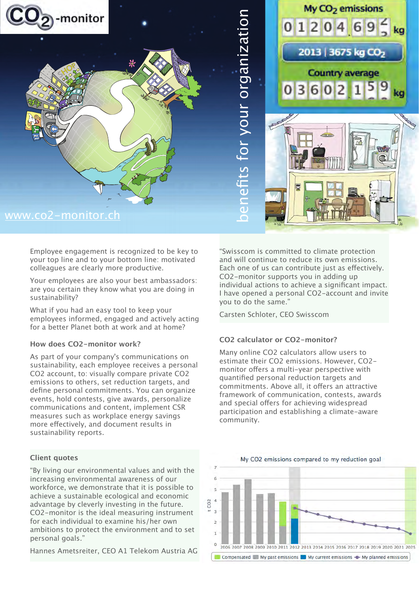

Employee engagement is recognized to be key to your top line and to your bottom line: motivated colleagues are clearly more productive.

Your employees are also your best ambassadors: are you certain they know what you are doing in sustainability?

What if you had an easy tool to keep your employees informed, engaged and actively acting for a better Planet both at work and at home?

# **How does CO2-monitor work?**

As part of your company's communications on sustainability, each employee receives a personal CO2 account, to: visually compare private CO2 emissions to others, set reduction targets, and define personal commitments. You can organize events, hold contests, give awards, personalize communications and content, implement CSR measures such as workplace energy savings more efectively, and document results in sustainability reports.

# **Client quotes**

"By living our environmental values and with the increasing environmental awareness of our workforce, we demonstrate that it is possible to achieve a sustainable ecological and economic advantage by cleverly investing in the future. CO2-monitor is the ideal measuring instrument for each individual to examine his/her own ambitions to protect the environment and to set personal goals."

Hannes Ametsreiter, CEO A1 Telekom Austria AG

"Swisscom is committed to climate protection and will continue to reduce its own emissions. Each one of us can contribute just as efectively. CO2-monitor supports you in adding up individual actions to achieve a significant impact. I have opened a personal CO2-account and invite you to do the same."

Carsten Schloter, CEO Swisscom

# **CO2 calculator or CO2-monitor?**

Many online CO2 calculators allow users to estimate their CO2 emissions. However, CO2 monitor offers a multi-year perspective with quantified personal reduction targets and commitments. Above all, it offers an attractive framework of communication, contests, awards and special offers for achieving widespread participation and establishing a climate-aware community.